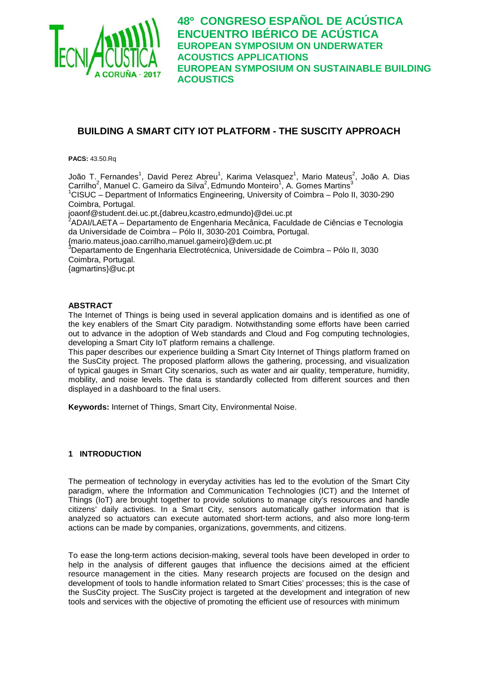

# **BUILDING A SMART CITY IOT PLATFORM - THE SUSCITY APPROACH**

**PACS:** 43.50.Rq

João T. Fernandes<sup>1</sup>, David Perez Abreu<sup>1</sup>, Karima Velasquez<sup>1</sup>, Mario Mateus<sup>2</sup>, João A. Dias Carrilho<sup>2</sup>, Manuel C. Gameiro da Silva<sup>2</sup>, Edmundo Monteiro<sup>1</sup>, A. Gomes Martins<sup>3</sup> 1 CISUC – Department of Informatics Engineering, University of Coimbra – Polo II, 3030-290 Coimbra, Portugal. joaonf@student.dei.uc.pt,{dabreu,kcastro,edmundo}@dei.uc.pt <sup>2</sup> <sup>2</sup>ADAI/LAETA – Departamento de Engenharia Mecânica, Faculdade de Ciências e Tecnologia da Universidade de Coimbra – Pólo II, 3030-201 Coimbra, Portugal. {mario.mateus,joao.carrilho,manuel.gameiro}@dem.uc.pt<br><sup>3</sup>Departamento de Engenharia Electrotécnica, Universidade de Coimbra – Pólo II, 3030 Coimbra, Portugal. {agmartins}@uc.pt

#### **ABSTRACT**

The Internet of Things is being used in several application domains and is identified as one of the key enablers of the Smart City paradigm. Notwithstanding some efforts have been carried out to advance in the adoption of Web standards and Cloud and Fog computing technologies, developing a Smart City IoT platform remains a challenge.

This paper describes our experience building a Smart City Internet of Things platform framed on the SusCity project. The proposed platform allows the gathering, processing, and visualization of typical gauges in Smart City scenarios, such as water and air quality, temperature, humidity, mobility, and noise levels. The data is standardly collected from different sources and then displayed in a dashboard to the final users.

**Keywords:** Internet of Things, Smart City, Environmental Noise.

#### **1 INTRODUCTION**

The permeation of technology in everyday activities has led to the evolution of the Smart City paradigm, where the Information and Communication Technologies (ICT) and the Internet of Things (IoT) are brought together to provide solutions to manage city's resources and handle citizens' daily activities. In a Smart City, sensors automatically gather information that is analyzed so actuators can execute automated short-term actions, and also more long-term actions can be made by companies, organizations, governments, and citizens.

To ease the long-term actions decision-making, several tools have been developed in order to help in the analysis of different gauges that influence the decisions aimed at the efficient resource management in the cities. Many research projects are focused on the design and development of tools to handle information related to Smart Cities' processes; this is the case of the SusCity project. The SusCity project is targeted at the development and integration of new tools and services with the objective of promoting the efficient use of resources with minimum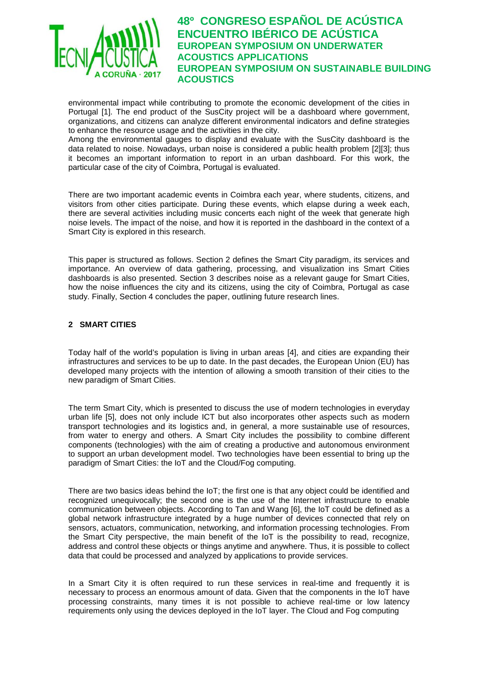

environmental impact while contributing to promote the economic development of the cities in Portugal [\[1\].](#page-8-0) The end product of the SusCity project will be a dashboard where government, organizations, and citizens can analyze different environmental indicators and define strategies to enhance the resource usage and the activities in the city.

Among the environmental gauges to display and evaluate with the SusCity dashboard is the data related to noise. Nowadays, urban noise is considered a public health problem [\[2\]\[3\];](#page-8-1) thus it becomes an important information to report in an urban dashboard. For this work, the particular case of the city of Coimbra, Portugal is evaluated.

There are two important academic events in Coimbra each year, where students, citizens, and visitors from other cities participate. During these events, which elapse during a week each, there are several activities including music concerts each night of the week that generate high noise levels. The impact of the noise, and how it is reported in the dashboard in the context of a Smart City is explored in this research.

This paper is structured as follows. Section [2](#page-1-0) defines the Smart City paradigm, its services and importance. An overview of data gathering, processing, and visualization ins Smart Cities dashboards is also presented. Section [3](#page-4-0) describes noise as a relevant gauge for Smart Cities, how the noise influences the city and its citizens, using the city of Coimbra, Portugal as case study. Finally, Section [4](#page-8-2) concludes the paper, outlining future research lines.

### <span id="page-1-0"></span>**2 SMART CITIES**

Today half of the world's population is living in urban areas [\[4\],](#page-8-3) and cities are expanding their infrastructures and services to be up to date. In the past decades, the European Union (EU) has developed many projects with the intention of allowing a smooth transition of their cities to the new paradigm of Smart Cities.

The term Smart City, which is presented to discuss the use of modern technologies in everyday urban life [\[5\],](#page-8-4) does not only include ICT but also incorporates other aspects such as modern transport technologies and its logistics and, in general, a more sustainable use of resources, from water to energy and others. A Smart City includes the possibility to combine different components (technologies) with the aim of creating a productive and autonomous environment to support an urban development model. Two technologies have been essential to bring up the paradigm of Smart Cities: the IoT and the Cloud/Fog computing.

There are two basics ideas behind the IoT; the first one is that any object could be identified and recognized unequivocally; the second one is the use of the Internet infrastructure to enable communication between objects. According to Tan and Wang [\[6\],](#page-8-5) the IoT could be defined as a global network infrastructure integrated by a huge number of devices connected that rely on sensors, actuators, communication, networking, and information processing technologies. From the Smart City perspective, the main benefit of the IoT is the possibility to read, recognize, address and control these objects or things anytime and anywhere. Thus, it is possible to collect data that could be processed and analyzed by applications to provide services.

In a Smart City it is often required to run these services in real-time and frequently it is necessary to process an enormous amount of data. Given that the components in the IoT have processing constraints, many times it is not possible to achieve real-time or low latency requirements only using the devices deployed in the IoT layer. The Cloud and Fog computing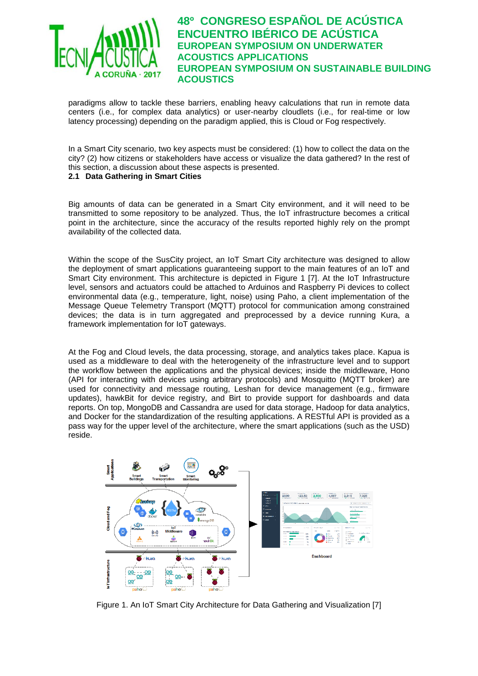

paradigms allow to tackle these barriers, enabling heavy calculations that run in remote data centers (i.e., for complex data analytics) or user-nearby cloudlets (i.e., for real-time or low latency processing) depending on the paradigm applied, this is Cloud or Fog respectively.

In a Smart City scenario, two key aspects must be considered: (1) how to collect the data on the city? (2) how citizens or stakeholders have access or visualize the data gathered? In the rest of this section, a discussion about these aspects is presented.

### **2.1 Data Gathering in Smart Cities**

Big amounts of data can be generated in a Smart City environment, and it will need to be transmitted to some repository to be analyzed. Thus, the IoT infrastructure becomes a critical point in the architecture, since the accuracy of the results reported highly rely on the prompt availability of the collected data.

Within the scope of the SusCity project, an IoT Smart City architecture was designed to allow the deployment of smart applications guaranteeing support to the main features of an IoT and Smart City environment. This architecture is depicted in [Figure 1](#page-2-0) [\[7\].](#page-8-6) At the IoT Infrastructure level, sensors and actuators could be attached to Arduinos and Raspberry Pi devices to collect environmental data (e.g., temperature, light, noise) using Paho, a client implementation of the Message Queue Telemetry Transport (MQTT) protocol for communication among constrained devices; the data is in turn aggregated and preprocessed by a device running Kura, a framework implementation for IoT gateways.

At the Fog and Cloud levels, the data processing, storage, and analytics takes place. Kapua is used as a middleware to deal with the heterogeneity of the infrastructure level and to support the workflow between the applications and the physical devices; inside the middleware, Hono (API for interacting with devices using arbitrary protocols) and Mosquitto (MQTT broker) are used for connectivity and message routing, Leshan for device management (e.g., firmware updates), hawkBit for device registry, and Birt to provide support for dashboards and data reports. On top, MongoDB and Cassandra are used for data storage, Hadoop for data analytics, and Docker for the standardization of the resulting applications. A RESTful API is provided as a pass way for the upper level of the architecture, where the smart applications (such as the USD) reside.



<span id="page-2-0"></span>Figure 1. An IoT Smart City Architecture for Data Gathering and Visualization [\[7\]](#page-8-6)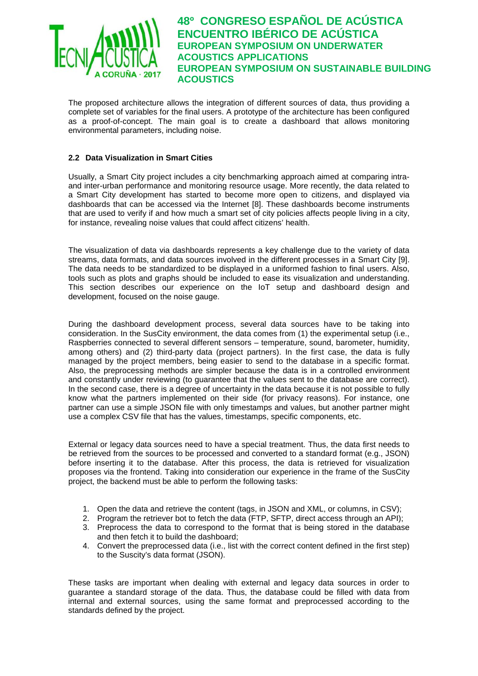

The proposed architecture allows the integration of different sources of data, thus providing a complete set of variables for the final users. A prototype of the architecture has been configured as a proof-of-concept. The main goal is to create a dashboard that allows monitoring environmental parameters, including noise.

### **2.2 Data Visualization in Smart Cities**

Usually, a Smart City project includes a city benchmarking approach aimed at comparing intraand inter-urban performance and monitoring resource usage. More recently, the data related to a Smart City development has started to become more open to citizens, and displayed via dashboards that can be accessed via the Internet [\[8\].](#page-9-0) These dashboards become instruments that are used to verify if and how much a smart set of city policies affects people living in a city, for instance, revealing noise values that could affect citizens' health.

The visualization of data via dashboards represents a key challenge due to the variety of data streams, data formats, and data sources involved in the different processes in a Smart City [\[9\].](#page-9-1) The data needs to be standardized to be displayed in a uniformed fashion to final users. Also, tools such as plots and graphs should be included to ease its visualization and understanding. This section describes our experience on the IoT setup and dashboard design and development, focused on the noise gauge.

During the dashboard development process, several data sources have to be taking into consideration. In the SusCity environment, the data comes from (1) the experimental setup (i.e., Raspberries connected to several different sensors – temperature, sound, barometer, humidity, among others) and (2) third-party data (project partners). In the first case, the data is fully managed by the project members, being easier to send to the database in a specific format. Also, the preprocessing methods are simpler because the data is in a controlled environment and constantly under reviewing (to guarantee that the values sent to the database are correct). In the second case, there is a degree of uncertainty in the data because it is not possible to fully know what the partners implemented on their side (for privacy reasons). For instance, one partner can use a simple JSON file with only timestamps and values, but another partner might use a complex CSV file that has the values, timestamps, specific components, etc.

External or legacy data sources need to have a special treatment. Thus, the data first needs to be retrieved from the sources to be processed and converted to a standard format (e.g., JSON) before inserting it to the database. After this process, the data is retrieved for visualization proposes via the frontend. Taking into consideration our experience in the frame of the SusCity project, the backend must be able to perform the following tasks:

- 1. Open the data and retrieve the content (tags, in JSON and XML, or columns, in CSV);
- 2. Program the retriever bot to fetch the data (FTP, SFTP, direct access through an API);
- 3. Preprocess the data to correspond to the format that is being stored in the database and then fetch it to build the dashboard;
- 4. Convert the preprocessed data (i.e., list with the correct content defined in the first step) to the Suscity's data format (JSON).

These tasks are important when dealing with external and legacy data sources in order to guarantee a standard storage of the data. Thus, the database could be filled with data from internal and external sources, using the same format and preprocessed according to the standards defined by the project.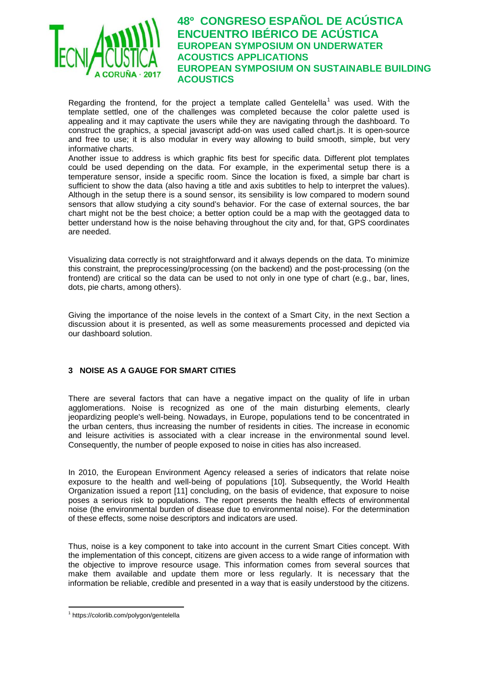

Regarding the frontend, for the project a template called Gentelella<sup>[1](#page-4-1)</sup> was used. With the template settled, one of the challenges was completed because the color palette used is appealing and it may captivate the users while they are navigating through the dashboard. To construct the graphics, a special javascript add-on was used called chart.js. It is open-source and free to use; it is also modular in every way allowing to build smooth, simple, but very informative charts.

Another issue to address is which graphic fits best for specific data. Different plot templates could be used depending on the data. For example, in the experimental setup there is a temperature sensor, inside a specific room. Since the location is fixed, a simple bar chart is sufficient to show the data (also having a title and axis subtitles to help to interpret the values). Although in the setup there is a sound sensor, its sensibility is low compared to modern sound sensors that allow studying a city sound's behavior. For the case of external sources, the bar chart might not be the best choice; a better option could be a map with the geotagged data to better understand how is the noise behaving throughout the city and, for that, GPS coordinates are needed.

Visualizing data correctly is not straightforward and it always depends on the data. To minimize this constraint, the preprocessing/processing (on the backend) and the post-processing (on the frontend) are critical so the data can be used to not only in one type of chart (e.g., bar, lines, dots, pie charts, among others).

Giving the importance of the noise levels in the context of a Smart City, in the next Section a discussion about it is presented, as well as some measurements processed and depicted via our dashboard solution.

### <span id="page-4-0"></span>**3 NOISE AS A GAUGE FOR SMART CITIES**

There are several factors that can have a negative impact on the quality of life in urban agglomerations. Noise is recognized as one of the main disturbing elements, clearly jeopardizing people's well-being. Nowadays, in Europe, populations tend to be concentrated in the urban centers, thus increasing the number of residents in cities. The increase in economic and leisure activities is associated with a clear increase in the environmental sound level. Consequently, the number of people exposed to noise in cities has also increased.

In 2010, the European Environment Agency released a series of indicators that relate noise exposure to the health and well-being of populations [\[10\].](#page-9-2) Subsequently, the World Health Organization issued a report [\[11\]](#page-9-3) concluding, on the basis of evidence, that exposure to noise poses a serious risk to populations. The report presents the health effects of environmental noise (the environmental burden of disease due to environmental noise). For the determination of these effects, some noise descriptors and indicators are used.

Thus, noise is a key component to take into account in the current Smart Cities concept. With the implementation of this concept, citizens are given access to a wide range of information with the objective to improve resource usage. This information comes from several sources that make them available and update them more or less regularly. It is necessary that the information be reliable, credible and presented in a way that is easily understood by the citizens.

<span id="page-4-1"></span><sup>1</sup> https://colorlib.com/polygon/gentelella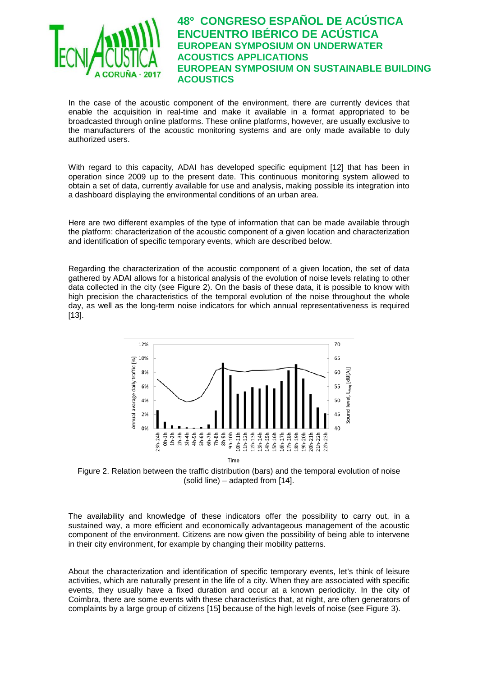

In the case of the acoustic component of the environment, there are currently devices that enable the acquisition in real-time and make it available in a format appropriated to be broadcasted through online platforms. These online platforms, however, are usually exclusive to the manufacturers of the acoustic monitoring systems and are only made available to duly authorized users.

With regard to this capacity, ADAI has developed specific equipment [\[12\]](#page-9-4) that has been in operation since 2009 up to the present date. This continuous monitoring system allowed to obtain a set of data, currently available for use and analysis, making possible its integration into a dashboard displaying the environmental conditions of an urban area.

Here are two different examples of the type of information that can be made available through the platform: characterization of the acoustic component of a given location and characterization and identification of specific temporary events, which are described below.

Regarding the characterization of the acoustic component of a given location, the set of data gathered by ADAI allows for a historical analysis of the evolution of noise levels relating to other data collected in the city (see [Figure 2\)](#page-5-0). On the basis of these data, it is possible to know with high precision the characteristics of the temporal evolution of the noise throughout the whole day, as well as the long-term noise indicators for which annual representativeness is required [\[13\].](#page-9-5)



<span id="page-5-0"></span>Figure 2. Relation between the traffic distribution (bars) and the temporal evolution of noise (solid line) – adapted from [\[14\].](#page-9-6)

The availability and knowledge of these indicators offer the possibility to carry out, in a sustained way, a more efficient and economically advantageous management of the acoustic component of the environment. Citizens are now given the possibility of being able to intervene in their city environment, for example by changing their mobility patterns.

About the characterization and identification of specific temporary events, let's think of leisure activities, which are naturally present in the life of a city. When they are associated with specific events, they usually have a fixed duration and occur at a known periodicity. In the city of Coimbra, there are some events with these characteristics that, at night, are often generators of complaints by a large group of citizens [\[15\]](#page-9-7) because of the high levels of noise (see [Figure 3\)](#page-6-0).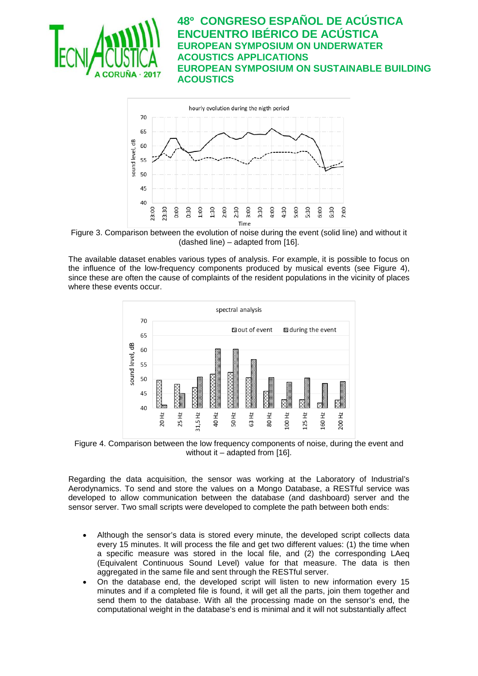



<span id="page-6-0"></span>Figure 3. Comparison between the evolution of noise during the event (solid line) and without it (dashed line) – adapted from [\[16\].](#page-9-8)

The available dataset enables various types of analysis. For example, it is possible to focus on the influence of the low-frequency components produced by musical events (see [Figure 4\)](#page-6-1), since these are often the cause of complaints of the resident populations in the vicinity of places where these events occur.



<span id="page-6-1"></span>Figure 4. Comparison between the low frequency components of noise, during the event and without it  $-$  adapted from [\[16\].](#page-9-8)

Regarding the data acquisition, the sensor was working at the Laboratory of Industrial's Aerodynamics. To send and store the values on a Mongo Database, a RESTful service was developed to allow communication between the database (and dashboard) server and the sensor server. Two small scripts were developed to complete the path between both ends:

- Although the sensor's data is stored every minute, the developed script collects data every 15 minutes. It will process the file and get two different values: (1) the time when a specific measure was stored in the local file, and (2) the corresponding LAeq (Equivalent Continuous Sound Level) value for that measure. The data is then aggregated in the same file and sent through the RESTful server.
- On the database end, the developed script will listen to new information every 15 minutes and if a completed file is found, it will get all the parts, join them together and send them to the database. With all the processing made on the sensor's end, the computational weight in the database's end is minimal and it will not substantially affect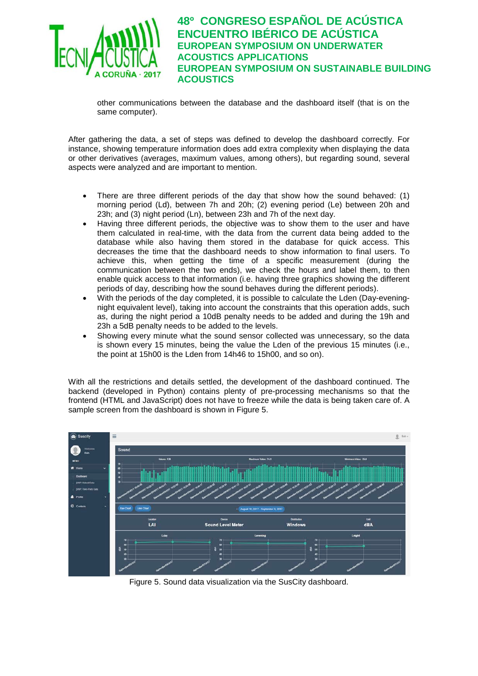

other communications between the database and the dashboard itself (that is on the same computer).

After gathering the data, a set of steps was defined to develop the dashboard correctly. For instance, showing temperature information does add extra complexity when displaying the data or other derivatives (averages, maximum values, among others), but regarding sound, several aspects were analyzed and are important to mention.

- There are three different periods of the day that show how the sound behaved: (1) morning period (Ld), between 7h and 20h; (2) evening period (Le) between 20h and 23h; and (3) night period (Ln), between 23h and 7h of the next day.
- Having three different periods, the objective was to show them to the user and have them calculated in real-time, with the data from the current data being added to the database while also having them stored in the database for quick access. This decreases the time that the dashboard needs to show information to final users. To achieve this, when getting the time of a specific measurement (during the communication between the two ends), we check the hours and label them, to then enable quick access to that information (i.e. having three graphics showing the different periods of day, describing how the sound behaves during the different periods).
- With the periods of the day completed, it is possible to calculate the Lden (Day-eveningnight equivalent level), taking into account the constraints that this operation adds, such as, during the night period a 10dB penalty needs to be added and during the 19h and 23h a 5dB penalty needs to be added to the levels.
- Showing every minute what the sound sensor collected was unnecessary, so the data is shown every 15 minutes, being the value the Lden of the previous 15 minutes (i.e., the point at 15h00 is the Lden from 14h46 to 15h00, and so on).

With all the restrictions and details settled, the development of the dashboard continued. The backend (developed in Python) contains plenty of pre-processing mechanisms so that the frontend (HTML and JavaScript) does not have to freeze while the data is being taken care of. A sample screen from the dashboard is shown in [Figure 5.](#page-7-0)



<span id="page-7-0"></span>Figure 5. Sound data visualization via the SusCity dashboard.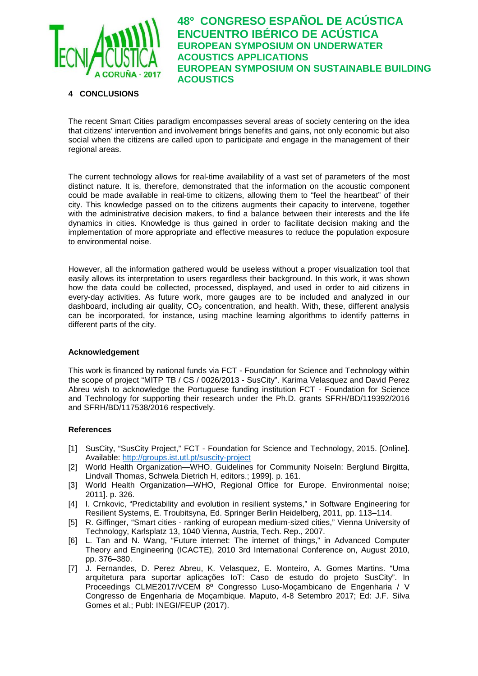

### <span id="page-8-2"></span>**4 CONCLUSIONS**

The recent Smart Cities paradigm encompasses several areas of society centering on the idea that citizens' intervention and involvement brings benefits and gains, not only economic but also social when the citizens are called upon to participate and engage in the management of their regional areas.

The current technology allows for real-time availability of a vast set of parameters of the most distinct nature. It is, therefore, demonstrated that the information on the acoustic component could be made available in real-time to citizens, allowing them to "feel the heartbeat" of their city. This knowledge passed on to the citizens augments their capacity to intervene, together with the administrative decision makers, to find a balance between their interests and the life dynamics in cities. Knowledge is thus gained in order to facilitate decision making and the implementation of more appropriate and effective measures to reduce the population exposure to environmental noise.

However, all the information gathered would be useless without a proper visualization tool that easily allows its interpretation to users regardless their background. In this work, it was shown how the data could be collected, processed, displayed, and used in order to aid citizens in every-day activities. As future work, more gauges are to be included and analyzed in our dashboard, including air quality,  $CO<sub>2</sub>$  concentration, and health. With, these, different analysis can be incorporated, for instance, using machine learning algorithms to identify patterns in different parts of the city.

#### **Acknowledgement**

This work is financed by national funds via FCT - Foundation for Science and Technology within the scope of project "MITP TB / CS / 0026/2013 - SusCity". Karima Velasquez and David Perez Abreu wish to acknowledge the Portuguese funding institution FCT - Foundation for Science and Technology for supporting their research under the Ph.D. grants SFRH/BD/119392/2016 and SFRH/BD/117538/2016 respectively.

### **References**

- <span id="page-8-0"></span>[1] SusCity, "SusCity Project," FCT - Foundation for Science and Technology, 2015. [Online]. Available:<http://groups.ist.utl.pt/suscity-project>
- <span id="page-8-1"></span>[2] World Health Organization—WHO. Guidelines for Community NoiseIn: Berglund Birgitta, Lindvall Thomas, Schwela Dietrich H, editors.; 1999]. p. 161.
- [3] World Health Organization—WHO, Regional Office for Europe. Environmental noise; 2011]. p. 326.
- <span id="page-8-3"></span>[4] I. Crnkovic, "Predictability and evolution in resilient systems," in Software Engineering for Resilient Systems, E. Troubitsyna, Ed. Springer Berlin Heidelberg, 2011, pp. 113–114.
- <span id="page-8-4"></span>[5] R. Giffinger, "Smart cities - ranking of european medium-sized cities," Vienna University of Technology, Karlsplatz 13, 1040 Vienna, Austria, Tech. Rep., 2007.
- <span id="page-8-5"></span>[6] L. Tan and N. Wang, "Future internet: The internet of things," in Advanced Computer Theory and Engineering (ICACTE), 2010 3rd International Conference on, August 2010, pp. 376–380.
- <span id="page-8-6"></span>[7] J. Fernandes, D. Perez Abreu, K. Velasquez, E. Monteiro, A. Gomes Martins. "Uma arquitetura para suportar aplicações IoT: Caso de estudo do projeto SusCity". In Proceedings CLME2017/VCEM 8º Congresso Luso-Moçambicano de Engenharia / V Congresso de Engenharia de Moçambique. Maputo, 4-8 Setembro 2017; Ed: J.F. Silva Gomes et al.; Publ: INEGI/FEUP (2017).